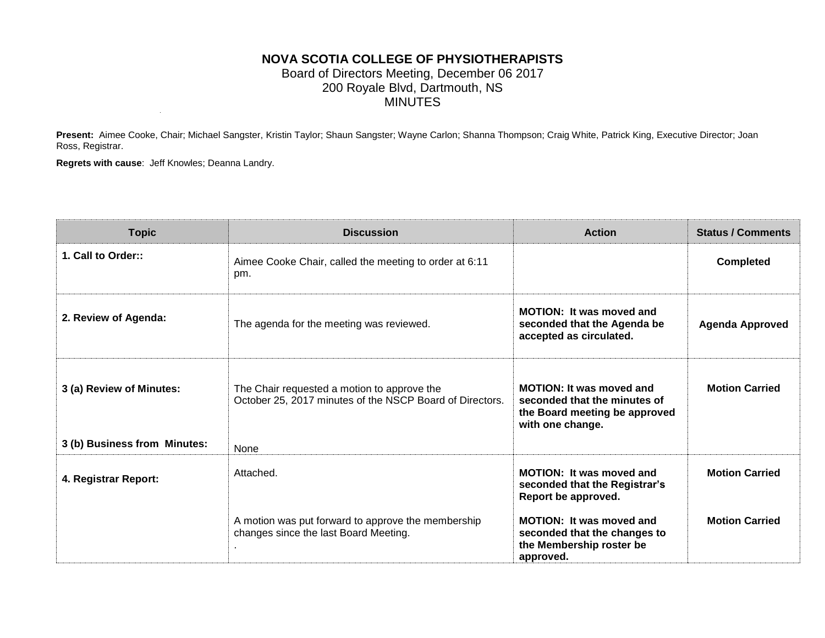### **NOVA SCOTIA COLLEGE OF PHYSIOTHERAPISTS** Board of Directors Meeting, December 06 2017 200 Royale Blvd, Dartmouth, NS MINUTES

Present: Aimee Cooke, Chair; Michael Sangster, Kristin Taylor; Shaun Sangster; Wayne Carlon; Shanna Thompson; Craig White, Patrick King, Executive Director; Joan Ross, Registrar.

**Regrets with cause**: Jeff Knowles; Deanna Landry.

| <b>Topic</b>                 | <b>Discussion</b>                                                                                       | <b>Action</b>                                                                                                        | <b>Status / Comments</b> |
|------------------------------|---------------------------------------------------------------------------------------------------------|----------------------------------------------------------------------------------------------------------------------|--------------------------|
| 1. Call to Order::           | Aimee Cooke Chair, called the meeting to order at 6:11<br>pm.                                           |                                                                                                                      | <b>Completed</b>         |
| 2. Review of Agenda:         | The agenda for the meeting was reviewed.                                                                | <b>MOTION: It was moved and</b><br>seconded that the Agenda be<br>accepted as circulated.                            | <b>Agenda Approved</b>   |
| 3 (a) Review of Minutes:     | The Chair requested a motion to approve the<br>October 25, 2017 minutes of the NSCP Board of Directors. | <b>MOTION: It was moved and</b><br>seconded that the minutes of<br>the Board meeting be approved<br>with one change. | <b>Motion Carried</b>    |
| 3 (b) Business from Minutes: | <b>None</b>                                                                                             |                                                                                                                      |                          |
| 4. Registrar Report:         | Attached.                                                                                               | <b>MOTION: It was moved and</b><br>seconded that the Registrar's<br>Report be approved.                              | <b>Motion Carried</b>    |
|                              | A motion was put forward to approve the membership<br>changes since the last Board Meeting.             | <b>MOTION: It was moved and</b><br>seconded that the changes to<br>the Membership roster be<br>approved.             | <b>Motion Carried</b>    |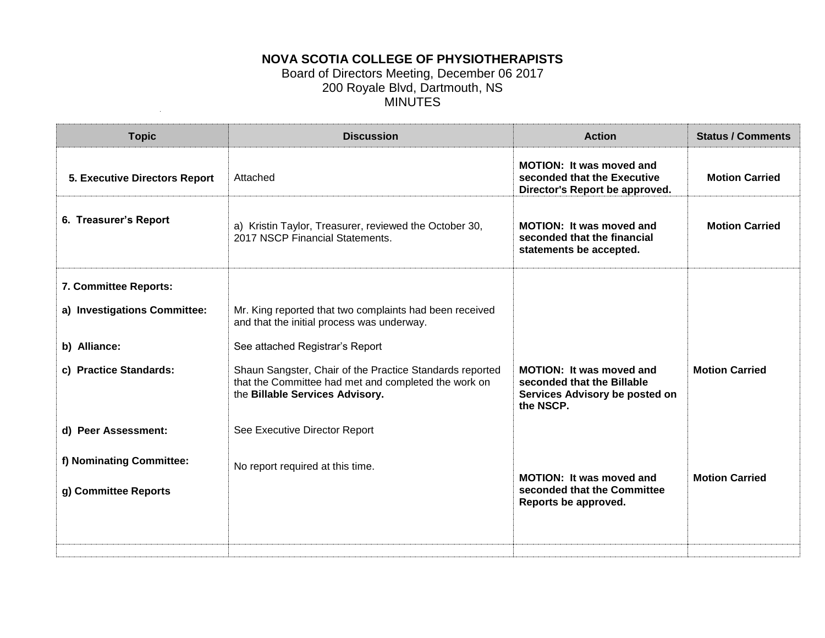## **NOVA SCOTIA COLLEGE OF PHYSIOTHERAPISTS**

#### Board of Directors Meeting, December 06 2017 200 Royale Blvd, Dartmouth, NS MINUTES

| <b>Topic</b>                         | <b>Discussion</b>                                                                                                                                   | <b>Action</b>                                                                                                | <b>Status / Comments</b> |
|--------------------------------------|-----------------------------------------------------------------------------------------------------------------------------------------------------|--------------------------------------------------------------------------------------------------------------|--------------------------|
| <b>5. Executive Directors Report</b> | Attached                                                                                                                                            | <b>MOTION: It was moved and</b><br>seconded that the Executive<br>Director's Report be approved.             | <b>Motion Carried</b>    |
| 6. Treasurer's Report                | a) Kristin Taylor, Treasurer, reviewed the October 30,<br>2017 NSCP Financial Statements.                                                           | <b>MOTION: It was moved and</b><br>seconded that the financial<br>statements be accepted.                    | <b>Motion Carried</b>    |
| 7. Committee Reports:                |                                                                                                                                                     |                                                                                                              |                          |
| a) Investigations Committee:         | Mr. King reported that two complaints had been received<br>and that the initial process was underway.                                               |                                                                                                              |                          |
| b) Alliance:                         | See attached Registrar's Report                                                                                                                     |                                                                                                              |                          |
| c) Practice Standards:               | Shaun Sangster, Chair of the Practice Standards reported<br>that the Committee had met and completed the work on<br>the Billable Services Advisory. | <b>MOTION: It was moved and</b><br>seconded that the Billable<br>Services Advisory be posted on<br>the NSCP. | <b>Motion Carried</b>    |
| d) Peer Assessment:                  | See Executive Director Report                                                                                                                       |                                                                                                              |                          |
| f) Nominating Committee:             | No report required at this time.                                                                                                                    | MOTION: It was moved and                                                                                     | <b>Motion Carried</b>    |
| g) Committee Reports                 |                                                                                                                                                     | seconded that the Committee<br>Reports be approved.                                                          |                          |
|                                      |                                                                                                                                                     |                                                                                                              |                          |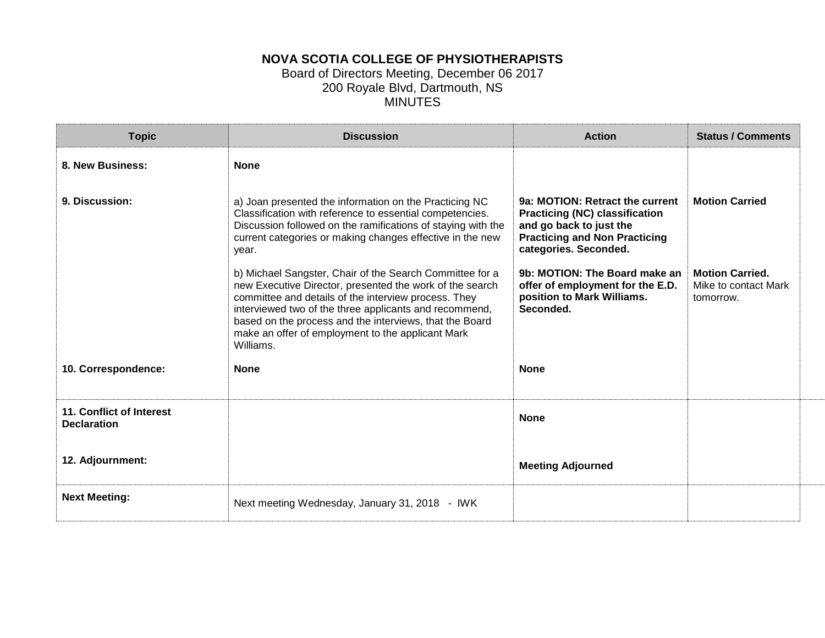## **NOVA SCOTIA COLLEGE OF PHYSIOTHERAPISTS**

#### Board of Directors Meeting, December 06 2017 200 Royale Blvd, Dartmouth, NS MINUTES

| <b>Topic</b>                                   | <b>Discussion</b>                                                                                                                                                                                                                                                                                                                                                   | <b>Action</b>                                                                                                                                                        | <b>Status / Comments</b>                                    |
|------------------------------------------------|---------------------------------------------------------------------------------------------------------------------------------------------------------------------------------------------------------------------------------------------------------------------------------------------------------------------------------------------------------------------|----------------------------------------------------------------------------------------------------------------------------------------------------------------------|-------------------------------------------------------------|
| 8. New Business:                               | <b>None</b>                                                                                                                                                                                                                                                                                                                                                         |                                                                                                                                                                      |                                                             |
| 9. Discussion:                                 | a) Joan presented the information on the Practicing NC<br>Classification with reference to essential competencies.<br>Discussion followed on the ramifications of staying with the<br>current categories or making changes effective in the new<br>year.                                                                                                            | 9a: MOTION: Retract the current<br><b>Practicing (NC) classification</b><br>and go back to just the<br><b>Practicing and Non Practicing</b><br>categories. Seconded. | <b>Motion Carried</b>                                       |
|                                                | b) Michael Sangster, Chair of the Search Committee for a<br>new Executive Director, presented the work of the search<br>committee and details of the interview process. They<br>interviewed two of the three applicants and recommend,<br>based on the process and the interviews, that the Board<br>make an offer of employment to the applicant Mark<br>Williams. | 9b: MOTION: The Board make an<br>offer of employment for the E.D.<br>position to Mark Williams.<br>Seconded.                                                         | <b>Motion Carried.</b><br>Mike to contact Mark<br>tomorrow. |
| 10. Correspondence:                            | <b>None</b>                                                                                                                                                                                                                                                                                                                                                         | <b>None</b>                                                                                                                                                          |                                                             |
| 11. Conflict of Interest<br><b>Declaration</b> |                                                                                                                                                                                                                                                                                                                                                                     | <b>None</b>                                                                                                                                                          |                                                             |
| 12. Adjournment:                               |                                                                                                                                                                                                                                                                                                                                                                     | <b>Meeting Adjourned</b>                                                                                                                                             |                                                             |
| <b>Next Meeting:</b>                           | Next meeting Wednesday, January 31, 2018 - IWK                                                                                                                                                                                                                                                                                                                      |                                                                                                                                                                      |                                                             |